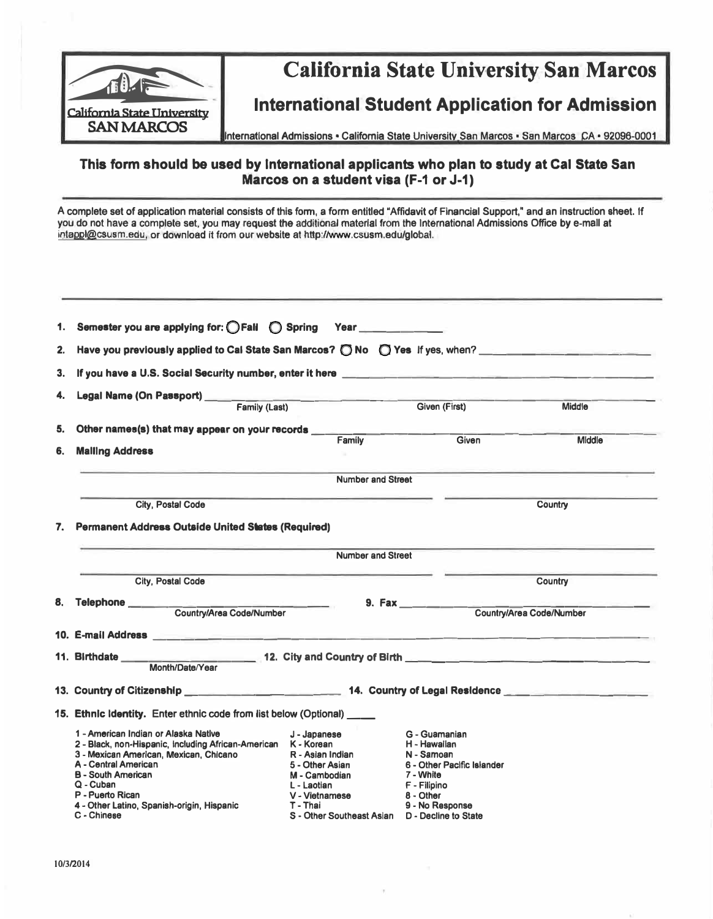

# California State University San Marcos

## **International Student Application for Admission**

**International Admissions • California State Unlversltv San Marcos • San Marcos CA • 92096-0001** 

### **This form should be used by International applicants who plan to study at Cal State San Marcos on a student visa (F-1 or J-1)**

**A complete set of application material consists of this form, a form entitled "Affidavit of Financial Support," and an instruction sheet. If you do not have a complete set, you may request the additional material from the International Admissions Office by e-mail at intappl@csusm.edu, or download It from our website at http://www.csusm.edu/global.** 

| 1.                                                                    | Semester you are applying for: OFall O Spring Year                                                                                                                                                                                                                                                    |                                                                                                                                                                     |                                                                                                                                        |                          |
|-----------------------------------------------------------------------|-------------------------------------------------------------------------------------------------------------------------------------------------------------------------------------------------------------------------------------------------------------------------------------------------------|---------------------------------------------------------------------------------------------------------------------------------------------------------------------|----------------------------------------------------------------------------------------------------------------------------------------|--------------------------|
| 2.                                                                    | Have you previously applied to Cal State San Marcos? $\bigcirc$ No $\bigcirc$ Yes if yes, when?                                                                                                                                                                                                       |                                                                                                                                                                     |                                                                                                                                        |                          |
| 3.                                                                    |                                                                                                                                                                                                                                                                                                       |                                                                                                                                                                     |                                                                                                                                        |                          |
| 4.                                                                    |                                                                                                                                                                                                                                                                                                       |                                                                                                                                                                     |                                                                                                                                        |                          |
|                                                                       | Family (Last)                                                                                                                                                                                                                                                                                         |                                                                                                                                                                     | Given (First)                                                                                                                          | <b>Middle</b>            |
| 5.                                                                    | Other names(s) that may appear on your records ____                                                                                                                                                                                                                                                   |                                                                                                                                                                     |                                                                                                                                        | <b>Middle</b>            |
| Family<br>Given<br><b>Malling Address</b><br>6.                       |                                                                                                                                                                                                                                                                                                       |                                                                                                                                                                     |                                                                                                                                        |                          |
|                                                                       |                                                                                                                                                                                                                                                                                                       | <b>Number and Street</b>                                                                                                                                            |                                                                                                                                        |                          |
|                                                                       | <b>City, Postal Code</b>                                                                                                                                                                                                                                                                              |                                                                                                                                                                     |                                                                                                                                        | Country                  |
|                                                                       | 7. Permanent Address Outside United States (Required)                                                                                                                                                                                                                                                 |                                                                                                                                                                     |                                                                                                                                        |                          |
|                                                                       |                                                                                                                                                                                                                                                                                                       | <b>Number and Street</b>                                                                                                                                            |                                                                                                                                        |                          |
|                                                                       | City, Postal Code                                                                                                                                                                                                                                                                                     |                                                                                                                                                                     |                                                                                                                                        | Country                  |
| 8.                                                                    | Telephone Country/Area Code/Number                                                                                                                                                                                                                                                                    |                                                                                                                                                                     | 9. Fax                                                                                                                                 | Country/Area Code/Number |
|                                                                       |                                                                                                                                                                                                                                                                                                       |                                                                                                                                                                     |                                                                                                                                        |                          |
|                                                                       | 10. E-mail Address <b>Andrea</b> Manual Address <b>Contract Address and Contract Address and Contract Address and Contract Address and Contract Address and Contract Address and Contract Address and Contract Address and Contract A</b>                                                             |                                                                                                                                                                     |                                                                                                                                        |                          |
|                                                                       | Month/Date/Year                                                                                                                                                                                                                                                                                       |                                                                                                                                                                     |                                                                                                                                        |                          |
|                                                                       | 13. Country of Citizenship <b>All Accounts</b> 214. Country of Legal Residence                                                                                                                                                                                                                        |                                                                                                                                                                     |                                                                                                                                        |                          |
| 15. Ethnic Identity. Enter ethnic code from list below (Optional) ___ |                                                                                                                                                                                                                                                                                                       |                                                                                                                                                                     |                                                                                                                                        |                          |
|                                                                       | 1 - American Indian or Alaska Native<br>2 - Black, non-Hispanic, including African-American K - Korean<br>3 - Mexican American, Mexican, Chicano<br>A - Central American<br><b>B</b> - South American<br>$Q$ - Cuban<br>P - Puerto Rican<br>4 - Other Latino, Spanish-origin, Hispanic<br>C - Chinese | J - Japanese<br>R - Asian Indian<br>5 - Other Asian<br>M - Cambodian<br>L - Laotian<br>V - Vietnamese<br>T - Thai<br>S - Other Southeast Asian D - Decline to State | G - Guamanian<br>H - Hawaiian<br>N - Samoan<br>6 - Other Pacific Islander<br>7 - White<br>F - Filipino<br>8 - Other<br>9 - No Response |                          |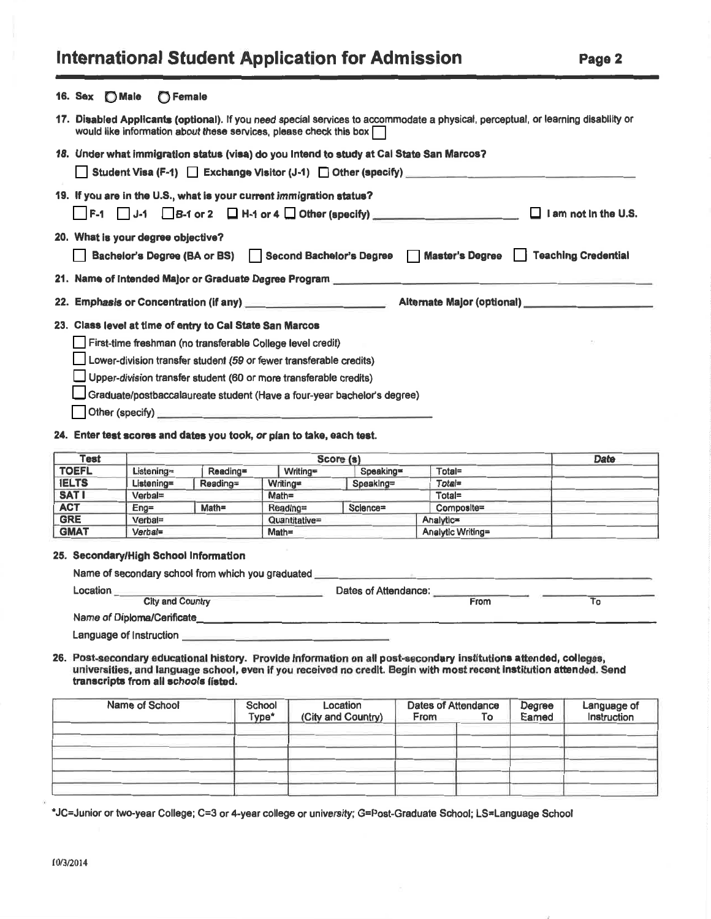# **International Student Application for Admission**

|--|--|--|--|--|--|

| 16. Sex [CMale   C Female                                                                                                                                                                                      |  |  |  |  |  |  |
|----------------------------------------------------------------------------------------------------------------------------------------------------------------------------------------------------------------|--|--|--|--|--|--|
| 17. Disabled Applicants (optional). If you need special services to accommodate a physical, perceptual, or learning disability or<br>would like information about these services, please check this box $\Box$ |  |  |  |  |  |  |
| 18. Under what immigration status (visa) do you Intend to study at Cal State San Marcos?                                                                                                                       |  |  |  |  |  |  |
|                                                                                                                                                                                                                |  |  |  |  |  |  |
| 19. If you are in the U.S., what is your current immigration status?                                                                                                                                           |  |  |  |  |  |  |
| $\Box$ F-1 $\Box$ J-1 $\Box$ B-1 or 2 $\Box$ H-1 or 4 $\Box$ Other (specify) _________________________________ $\Box$ I am not in the U.S.                                                                     |  |  |  |  |  |  |
| 20. What is your degree objective?                                                                                                                                                                             |  |  |  |  |  |  |
| Bachelor's Degree (BA or BS) Second Bachelor's Degree Master's Degree Teaching Credential                                                                                                                      |  |  |  |  |  |  |
|                                                                                                                                                                                                                |  |  |  |  |  |  |
|                                                                                                                                                                                                                |  |  |  |  |  |  |
| 22. Emphasis or Concentration (if any) <b>Alternate Major (optional)</b> Alternate Major (optional)                                                                                                            |  |  |  |  |  |  |
| 23. Class level at time of entry to Cal State San Marcos                                                                                                                                                       |  |  |  |  |  |  |
| First-time freshman (no transferable College level credit)                                                                                                                                                     |  |  |  |  |  |  |
| Lower-division transfer student (59 or fewer transferable credits)                                                                                                                                             |  |  |  |  |  |  |
| Upper-division transfer student (60 or more transferable credits)                                                                                                                                              |  |  |  |  |  |  |
| Graduate/postbaccalaureate student (Have a four-year bachelor's degree)                                                                                                                                        |  |  |  |  |  |  |
| Other (specify)                                                                                                                                                                                                |  |  |  |  |  |  |

| Test         |                                                         |                      |                       | Score (s) |                   |  |
|--------------|---------------------------------------------------------|----------------------|-----------------------|-----------|-------------------|--|
| <b>TOEFL</b> | Listening=                                              | Reading=             | Writing=<br>Speaking= |           | Total=            |  |
| <b>IELTS</b> | Listening=                                              | Writing=<br>Reading= |                       | Speaking= | Total=            |  |
| <b>SATI</b>  | Verbal=<br>$Math =$<br>$Enq =$<br>Verbal=<br>$Verbal =$ |                      | Math=                 |           | Total=            |  |
| <b>ACT</b>   |                                                         |                      | Reading=              | Science=  | Composite=        |  |
| <b>GRE</b>   |                                                         |                      | Quantitative=         |           | Analytic=         |  |
| <b>GMAT</b>  |                                                         |                      | $Math =$              |           | Analytic Writing= |  |

#### 25. Secondary/High School Information

| Name of secondary school from which you graduated |                      |      |  |
|---------------------------------------------------|----------------------|------|--|
| Location                                          | Dates of Attendance: |      |  |
| <b>City and Country</b>                           |                      | From |  |
| Name of Diploma/Cerificate                        |                      |      |  |

Language of Instruction

26. Post-secondary educational history. Provide information on all post-secondary institutions attended, colleges, universities, and language school, even if you received no credit. Begin with most recent institution attended. Send transcripts from all schools listed.

| Name of School | School<br>Type* | Location<br>(City and Country) | Dates of Attendance<br>From | ۱o | Degree<br>Eamed | Language of<br>Instruction |
|----------------|-----------------|--------------------------------|-----------------------------|----|-----------------|----------------------------|
|                |                 |                                |                             |    |                 |                            |
|                |                 |                                |                             |    |                 |                            |
|                |                 |                                |                             |    |                 |                            |

\*JC=Junior or two-year College; C=3 or 4-year college or university; G=Post-Graduate School; LS=Language School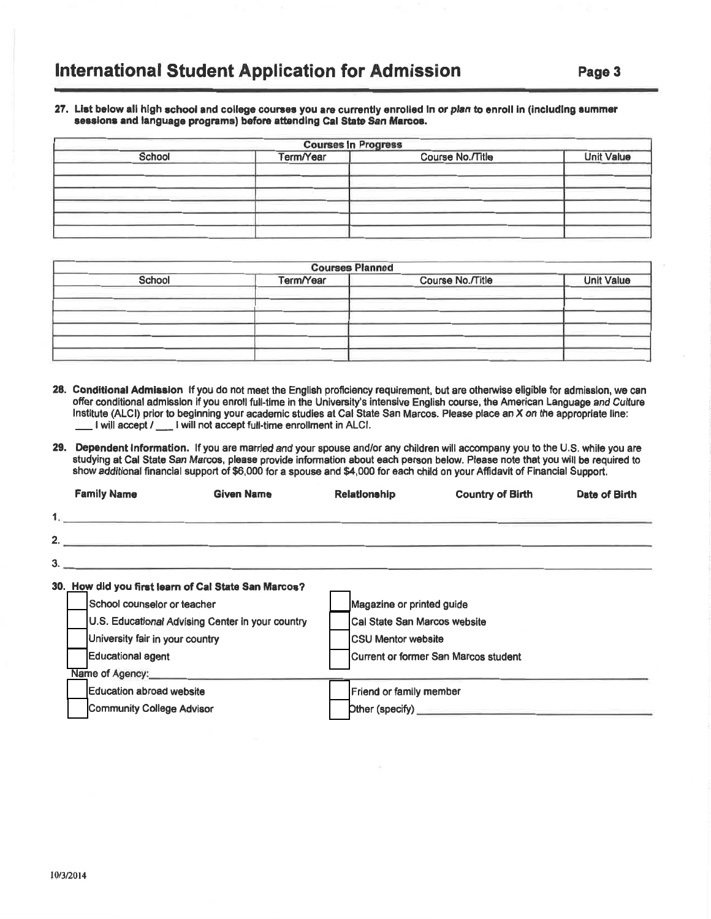#### 27. List below all high school and college courses you are currently enrolled in or plan to enroll in (including summer sessions and language programs) before attending Cal State San Marcos.

|        | <b>Courses In Progress</b> |                  |                   |
|--------|----------------------------|------------------|-------------------|
| School | Term/Year                  | Course No./Title | <b>Unit Value</b> |
|        |                            |                  |                   |
|        |                            |                  |                   |
|        |                            |                  |                   |
|        |                            |                  |                   |
|        |                            |                  |                   |

|        | <b>Courses Planned</b> |                  |                   |  |  |  |  |  |
|--------|------------------------|------------------|-------------------|--|--|--|--|--|
| School | Term/Year              | Course No./Title | <b>Unit Value</b> |  |  |  |  |  |
|        |                        |                  |                   |  |  |  |  |  |
|        |                        |                  |                   |  |  |  |  |  |
|        |                        |                  |                   |  |  |  |  |  |
|        |                        |                  |                   |  |  |  |  |  |
|        |                        |                  |                   |  |  |  |  |  |

- 28. Conditional Admission If you do not meet the English proficiency requirement, but are otherwise eligible for admission, we can offer conditional admission if you enroll full-time in the University's intensive English course, the American Language and Culture Institute (ALCI) prior to beginning your academic studies at Cal State San Marcos. Please place an X on the appropriate line: I will accept / \_\_ I will not accept full-time enrollment in ALCI.
- 29. Dependent Information. If you are married and your spouse and/or any children will accompany you to the U.S. while you are studying at Cal State San Marcos, please provide information about each person below. Please note that you will be required to show additional financial support of \$6,000 for a spouse and \$4,000 for each child on your Affidavit of Financial Support.

|  | <b>Family Name</b>                                                                                                                 | <b>Given Name</b>                                    | <b>Relationship</b>           | <b>Country of Birth</b>              | Date of Birth |
|--|------------------------------------------------------------------------------------------------------------------------------------|------------------------------------------------------|-------------------------------|--------------------------------------|---------------|
|  |                                                                                                                                    |                                                      |                               |                                      |               |
|  | 2.                                                                                                                                 |                                                      |                               |                                      |               |
|  |                                                                                                                                    | $3.$ $\overline{\phantom{a}}$                        |                               |                                      |               |
|  |                                                                                                                                    | 30. How did you first learn of Cal State San Marcos? |                               |                                      |               |
|  | School counselor or teacher                                                                                                        |                                                      | Magazine or printed guide     |                                      |               |
|  | U.S. Educational Advising Center in your country<br>University fair in your country<br><b>Educational agent</b><br>Name of Agency: |                                                      | Cal State San Marcos website  |                                      |               |
|  |                                                                                                                                    |                                                      | <b>CSU Mentor website</b>     |                                      |               |
|  |                                                                                                                                    |                                                      |                               | Current or former San Marcos student |               |
|  |                                                                                                                                    |                                                      |                               |                                      |               |
|  | Education abroad website                                                                                                           |                                                      | Friend or family member       |                                      |               |
|  | <b>Community College Advisor</b>                                                                                                   |                                                      | Dther (specify) _____________ |                                      |               |